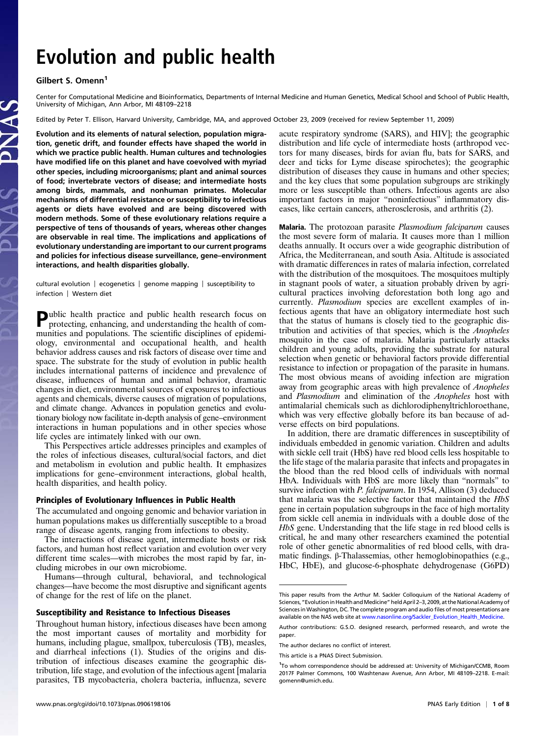# Evolution and public health

## Gilbert S. Omenn<sup>1</sup>

Center for Computational Medicine and Bioinformatics, Departments of Internal Medicine and Human Genetics, Medical School and School of Public Health, University of Michigan, Ann Arbor, MI 48109–2218

Edited by Peter T. Ellison, Harvard University, Cambridge, MA, and approved October 23, 2009 (received for review September 11, 2009)

Evolution and its elements of natural selection, population migration, genetic drift, and founder effects have shaped the world in which we practice public health. Human cultures and technologies have modified life on this planet and have coevolved with myriad other species, including microorganisms; plant and animal sources of food; invertebrate vectors of disease; and intermediate hosts among birds, mammals, and nonhuman primates. Molecular mechanisms of differential resistance or susceptibility to infectious agents or diets have evolved and are being discovered with modern methods. Some of these evolutionary relations require a perspective of tens of thousands of years, whereas other changes are observable in real time. The implications and applications of evolutionary understanding are important to our current programs and policies for infectious disease surveillance, gene–environment interactions, and health disparities globally.

cultural evolution | ecogenetics | genome mapping | susceptibility to infection | Western diet

Public health practice and public health research focus on protecting enhancing and  $\ldots$ protecting, enhancing, and understanding the health of communities and populations. The scientific disciplines of epidemiology, environmental and occupational health, and health behavior address causes and risk factors of disease over time and space. The substrate for the study of evolution in public health includes international patterns of incidence and prevalence of disease, influences of human and animal behavior, dramatic changes in diet, environmental sources of exposures to infectious agents and chemicals, diverse causes of migration of populations, and climate change. Advances in population genetics and evolutionary biology now facilitate in-depth analysis of gene–environment interactions in human populations and in other species whose life cycles are intimately linked with our own.

This Perspectives article addresses principles and examples of the roles of infectious diseases, cultural/social factors, and diet and metabolism in evolution and public health. It emphasizes implications for gene–environment interactions, global health, health disparities, and health policy.

#### Principles of Evolutionary Influences in Public Health

The accumulated and ongoing genomic and behavior variation in human populations makes us differentially susceptible to a broad range of disease agents, ranging from infections to obesity.

The interactions of disease agent, intermediate hosts or risk factors, and human host reflect variation and evolution over very different time scales—with microbes the most rapid by far, including microbes in our own microbiome.

Humans—through cultural, behavioral, and technological changes—have become the most disruptive and significant agents of change for the rest of life on the planet.

#### Susceptibility and Resistance to Infectious Diseases

Throughout human history, infectious diseases have been among the most important causes of mortality and morbidity for humans, including plague, smallpox, tuberculosis (TB), measles, and diarrheal infections (1). Studies of the origins and distribution of infectious diseases examine the geographic distribution, life stage, and evolution of the infectious agent [malaria parasites, TB mycobacteria, cholera bacteria, influenza, severe acute respiratory syndrome (SARS), and HIV]; the geographic distribution and life cycle of intermediate hosts (arthropod vectors for many diseases, birds for avian flu, bats for SARS, and deer and ticks for Lyme disease spirochetes); the geographic distribution of diseases they cause in humans and other species; and the key clues that some population subgroups are strikingly more or less susceptible than others. Infectious agents are also important factors in major "noninfectious" inflammatory diseases, like certain cancers, atherosclerosis, and arthritis (2).

Malaria. The protozoan parasite Plasmodium falciparum causes the most severe form of malaria. It causes more than 1 million deaths annually. It occurs over a wide geographic distribution of Africa, the Mediterranean, and south Asia. Altitude is associated with dramatic differences in rates of malaria infection, correlated with the distribution of the mosquitoes. The mosquitoes multiply in stagnant pools of water, a situation probably driven by agricultural practices involving deforestation both long ago and currently. Plasmodium species are excellent examples of infectious agents that have an obligatory intermediate host such that the status of humans is closely tied to the geographic distribution and activities of that species, which is the Anopheles mosquito in the case of malaria. Malaria particularly attacks children and young adults, providing the substrate for natural selection when genetic or behavioral factors provide differential resistance to infection or propagation of the parasite in humans. The most obvious means of avoiding infection are migration away from geographic areas with high prevalence of Anopheles and Plasmodium and elimination of the Anopheles host with antimalarial chemicals such as dichlorodiphenyltrichloroethane, which was very effective globally before its ban because of adverse effects on bird populations.

In addition, there are dramatic differences in susceptibility of individuals embedded in genomic variation. Children and adults with sickle cell trait (HbS) have red blood cells less hospitable to the life stage of the malaria parasite that infects and propagates in the blood than the red blood cells of individuals with normal HbA. Individuals with HbS are more likely than "normals" to survive infection with *P. falciparum*. In 1954, Allison (3) deduced that malaria was the selective factor that maintained the HbS gene in certain population subgroups in the face of high mortality from sickle cell anemia in individuals with a double dose of the HbS gene. Understanding that the life stage in red blood cells is critical, he and many other researchers examined the potential role of other genetic abnormalities of red blood cells, with dramatic findings. β-Thalassemias, other hemoglobinopathies (e.g., HbC, HbE), and glucose-6-phosphate dehydrogenase (G6PD)

This paper results from the Arthur M. Sackler Colloquium of the National Academy of Sciences, "Evolution in Health and Medicine" held April 2–3, 2009, at the National Academy of Sciences in Washington, DC. The complete program and audio files of most presentations are available on the NAS web site at www.nasonline.org/Sackler\_Evolution\_Health\_Medicine.

Author contributions: G.S.O. designed research, performed research, and wrote the paper.

The author declares no conflict of interest.

This article is a PNAS Direct Submission.

<sup>&</sup>lt;sup>1</sup>To whom correspondence should be addressed at: University of Michigan/CCMB, Room 2017F Palmer Commons, 100 Washtenaw Avenue, Ann Arbor, MI 48109–2218. E-mail: [gomenn@umich.edu](mailto:gomenn@umich.edu).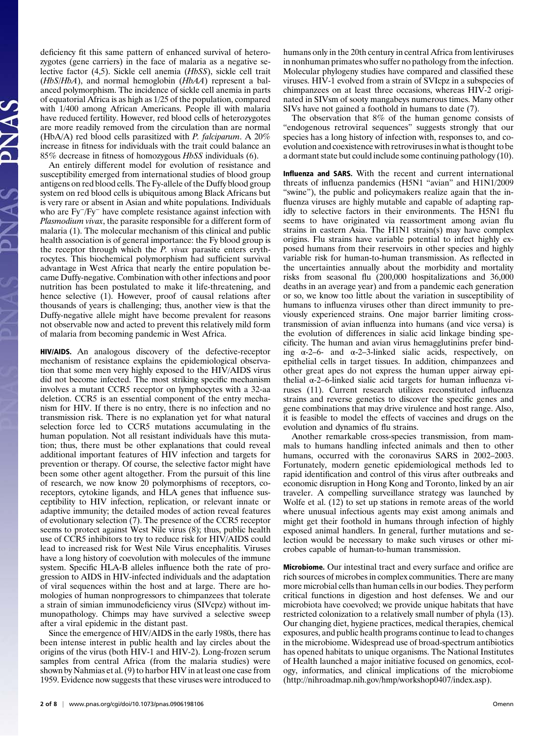deficiency fit this same pattern of enhanced survival of heterozygotes (gene carriers) in the face of malaria as a negative selective factor (4,5). Sickle cell anemia (HbSS), sickle cell trait  $(HbS/HbA)$ , and normal hemoglobin  $(HbAA)$  represent a balanced polymorphism. The incidence of sickle cell anemia in parts of equatorial Africa is as high as 1/25 of the population, compared with 1/400 among African Americans. People ill with malaria have reduced fertility. However, red blood cells of heterozygotes are more readily removed from the circulation than are normal (HbA/A) red blood cells parasitized with P. falciparum. A 20% increase in fitness for individuals with the trait could balance an 85% decrease in fitness of homozygous HbSS individuals (6).

An entirely different model for evolution of resistance and susceptibility emerged from international studies of blood group antigens on red blood cells. The Fy-allele of the Duffy blood group system on red blood cells is ubiquitous among Black Africans but is very rare or absent in Asian and white populations. Individuals who are Fy−/Fy<sup>−</sup> have complete resistance against infection with Plasmodium vivax, the parasite responsible for a different form of malaria (1). The molecular mechanism of this clinical and public health association is of general importance: the Fy blood group is the receptor through which the *P. vivax* parasite enters erythrocytes. This biochemical polymorphism had sufficient survival advantage in West Africa that nearly the entire population became Duffy-negative. Combination with other infections and poor nutrition has been postulated to make it life-threatening, and hence selective (1). However, proof of causal relations after thousands of years is challenging; thus, another view is that the Duffy-negative allele might have become prevalent for reasons not observable now and acted to prevent this relatively mild form of malaria from becoming pandemic in West Africa.

HIV/AIDS. An analogous discovery of the defective-receptor mechanism of resistance explains the epidemiological observation that some men very highly exposed to the HIV/AIDS virus did not become infected. The most striking specific mechanism involves a mutant CCR5 receptor on lymphocytes with a 32-aa deletion. CCR5 is an essential component of the entry mechanism for HIV. If there is no entry, there is no infection and no transmission risk. There is no explanation yet for what natural selection force led to CCR5 mutations accumulating in the human population. Not all resistant individuals have this mutation; thus, there must be other explanations that could reveal additional important features of HIV infection and targets for prevention or therapy. Of course, the selective factor might have been some other agent altogether. From the pursuit of this line of research, we now know 20 polymorphisms of receptors, coreceptors, cytokine ligands, and HLA genes that influence susceptibility to HIV infection, replication, or relevant innate or adaptive immunity; the detailed modes of action reveal features of evolutionary selection (7). The presence of the CCR5 receptor seems to protect against West Nile virus (8); thus, public health use of CCR5 inhibitors to try to reduce risk for HIV/AIDS could lead to increased risk for West Nile Virus encephalitis. Viruses have a long history of coevolution with molecules of the immune system. Specific HLA-B alleles influence both the rate of progression to AIDS in HIV-infected individuals and the adaptation of viral sequences within the host and at large. There are homologies of human nonprogressors to chimpanzees that tolerate a strain of simian immunodeficiency virus (SIVcpz) without immunopathology. Chimps may have survived a selective sweep after a viral epidemic in the distant past.

Since the emergence of HIV/AIDS in the early 1980s, there has been intense interest in public health and lay circles about the origins of the virus (both HIV-1 and HIV-2). Long-frozen serum samples from central Africa (from the malaria studies) were shown by Nahmias et al. (9) to harbor HIV in at least one case from 1959. Evidence now suggests that these viruses were introduced to

humans only in the 20th century in central Africa from lentiviruses in nonhuman primates who suffer no pathology from the infection. Molecular phylogeny studies have compared and classified these viruses. HIV-1 evolved from a strain of SVIcpz in a subspecies of chimpanzees on at least three occasions, whereas HIV-2 originated in SIVsm of sooty mangabeys numerous times. Many other SIVs have not gained a foothold in humans to date (7).

The observation that 8% of the human genome consists of "endogenous retroviral sequences" suggests strongly that our species has a long history of infection with, responses to, and coevolution and coexistence with retroviruses in what is thought to be a dormant state but could include some continuing pathology (10).

Influenza and SARS. With the recent and current international threats of influenza pandemics (H5N1 "avian" and H1N1/2009 "swine"), the public and policymakers realize again that the influenza viruses are highly mutable and capable of adapting rapidly to selective factors in their environments. The H5N1 flu seems to have originated via reassortment among avian flu strains in eastern Asia. The H1N1 strain(s) may have complex origins. Flu strains have variable potential to infect highly exposed humans from their reservoirs in other species and highly variable risk for human-to-human transmission. As reflected in the uncertainties annually about the morbidity and mortality risks from seasonal flu (200,000 hospitalizations and 36,000 deaths in an average year) and from a pandemic each generation or so, we know too little about the variation in susceptibility of humans to influenza viruses other than direct immunity to previously experienced strains. One major barrier limiting crosstransmission of avian influenza into humans (and vice versa) is the evolution of differences in sialic acid linkage binding specificity. The human and avian virus hemagglutinins prefer binding  $\alpha$ -2–6- and  $\alpha$ -2–3-linked sialic acids, respectively, on epithelial cells in target tissues. In addition, chimpanzees and other great apes do not express the human upper airway epithelial α-2–6-linked sialic acid targets for human influenza viruses (11). Current research utilizes reconstituted influenza strains and reverse genetics to discover the specific genes and gene combinations that may drive virulence and host range. Also, it is feasible to model the effects of vaccines and drugs on the evolution and dynamics of flu strains.

Another remarkable cross-species transmission, from mammals to humans handling infected animals and then to other humans, occurred with the coronavirus SARS in 2002–2003. Fortunately, modern genetic epidemiological methods led to rapid identification and control of this virus after outbreaks and economic disruption in Hong Kong and Toronto, linked by an air traveler. A compelling surveillance strategy was launched by Wolfe et al. (12) to set up stations in remote areas of the world where unusual infectious agents may exist among animals and might get their foothold in humans through infection of highly exposed animal handlers. In general, further mutations and selection would be necessary to make such viruses or other microbes capable of human-to-human transmission.

Microbiome. Our intestinal tract and every surface and orifice are rich sources of microbes in complex communities. There are many more microbial cells than human cells in our bodies. They perform critical functions in digestion and host defenses. We and our microbiota have coevolved; we provide unique habitats that have restricted colonization to a relatively small number of phyla (13). Our changing diet, hygiene practices, medical therapies, chemical exposures, and public health programs continue to lead to changes in the microbiome. Widespread use of broad-spectrum antibiotics has opened habitats to unique organisms. The National Institutes of Health launched a major initiative focused on genomics, ecology, informatics, and clinical implications of the microbiome (http://nihroadmap.nih.gov/hmp/workshop0407/index.asp).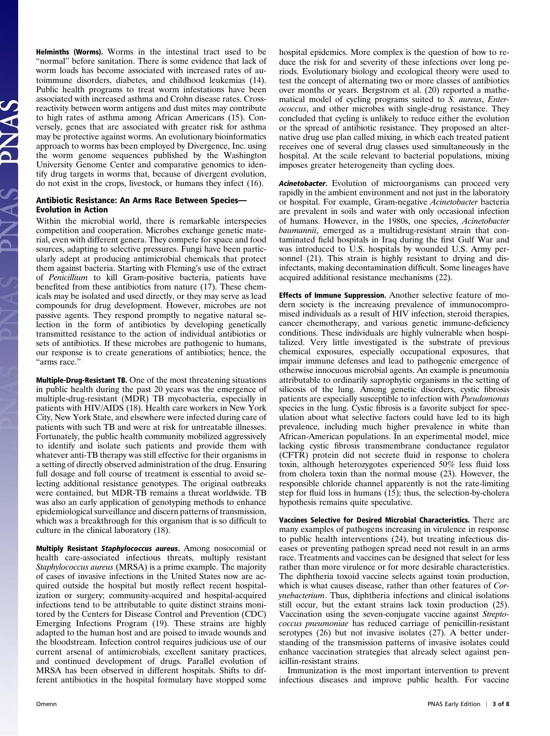Helminths (Worms). Worms in the intestinal tract used to be "normal" before sanitation. There is some evidence that lack of worm loads has become associated with increased rates of autoimmune disorders, diabetes, and childhood leukemias (14). Public health programs to treat worm infestations have been associated with increased asthma and Crohn disease rates. Crossreactivity between worm antigens and dust mites may contribute to high rates of asthma among African Americans (15). Conversely, genes that are associated with greater risk for asthma may be protective against worms. An evolutionary bioinformatics approach to worms has been employed by Divergence, Inc. using the worm genome sequences published by the Washington University Genome Center and comparative genomics to identify drug targets in worms that, because of divergent evolution, do not exist in the crops, livestock, or humans they infect (16).

#### Antibiotic Resistance: An Arms Race Between Species— Evolution in Action

Within the microbial world, there is remarkable interspecies competition and cooperation. Microbes exchange genetic material, even with different genera. They compete for space and food sources, adapting to selective pressures. Fungi have been particularly adept at producing antimicrobial chemicals that protect them against bacteria. Starting with Fleming's use of the extract of Penicillium to kill Gram-positive bacteria, patients have benefited from these antibiotics from nature (17). These chemicals may be isolated and used directly, or they may serve as lead compounds for drug development. However, microbes are not passive agents. They respond promptly to negative natural selection in the form of antibiotics by developing genetically transmitted resistance to the action of individual antibiotics or sets of antibiotics. If these microbes are pathogenic to humans, our response is to create generations of antibiotics; hence, the "arms race."

Multiple-Drug-Resistant TB. One of the most threatening situations in public health during the past 20 years was the emergence of multiple-drug-resistant (MDR) TB mycobacteria, especially in patients with HIV/AIDS (18). Health care workers in New York City, New York State, and elsewhere were infected during care of patients with such TB and were at risk for untreatable illnesses. Fortunately, the public health community mobilized aggressively to identify and isolate such patients and provide them with whatever anti-TB therapy was still effective for their organisms in a setting of directly observed administration of the drug. Ensuring full dosage and full course of treatment is essential to avoid selecting additional resistance genotypes. The original outbreaks were contained, but MDR-TB remains a threat worldwide. TB was also an early application of genotyping methods to enhance epidemiological surveillance and discern patterns of transmission, which was a breakthrough for this organism that is so difficult to culture in the clinical laboratory (18).

Multiply Resistant Staphylococcus aureus. Among nosocomial or health care-associated infectious threats, multiply resistant Staphylococcus aureus (MRSA) is a prime example. The majority of cases of invasive infections in the United States now are acquired outside the hospital but mostly reflect recent hospitalization or surgery; community-acquired and hospital-acquired infections tend to be attributable to quite distinct strains monitored by the Centers for Disease Control and Prevention (CDC) Emerging Infections Program (19). These strains are highly adapted to the human host and are poised to invade wounds and the bloodstream. Infection control requires judicious use of our current arsenal of antimicrobials, excellent sanitary practices, and continued development of drugs. Parallel evolution of MRSA has been observed in different hospitals. Shifts to different antibiotics in the hospital formulary have stopped some hospital epidemics. More complex is the question of how to reduce the risk for and severity of these infections over long periods. Evolutionary biology and ecological theory were used to test the concept of alternating two or more classes of antibiotics over months or years. Bergstrom et al. (20) reported a mathematical model of cycling programs suited to S. aureus, Enterococcus, and other microbes with single-drug resistance. They concluded that cycling is unlikely to reduce either the evolution or the spread of antibiotic resistance. They proposed an alternative drug use plan called mixing, in which each treated patient receives one of several drug classes used simultaneously in the hospital. At the scale relevant to bacterial populations, mixing imposes greater heterogeneity than cycling does.

Acinetobacter. Evolution of microorganisms can proceed very rapidly in the ambient environment and not just in the laboratory or hospital. For example, Gram-negative Acinetobacter bacteria are prevalent in soils and water with only occasional infection of humans. However, in the 1980s, one species, Acinetobacter baumannii, emerged as a multidrug-resistant strain that contaminated field hospitals in Iraq during the first Gulf War and was introduced to U.S. hospitals by wounded U.S. Army personnel (21). This strain is highly resistant to drying and disinfectants, making decontamination difficult. Some lineages have acquired additional resistance mechanisms (22).

Effects of Immune Suppression. Another selective feature of modern society is the increasing prevalence of immunocompromised individuals as a result of HIV infection, steroid therapies, cancer chemotherapy, and various genetic immune-deficiency conditions. These individuals are highly vulnerable when hospitalized. Very little investigated is the substrate of previous chemical exposures, especially occupational exposures, that impair immune defenses and lead to pathogenic emergence of otherwise innocuous microbial agents. An example is pneumonia attributable to ordinarily saprophytic organisms in the setting of silicosis of the lung. Among genetic disorders, cystic fibrosis patients are especially susceptible to infection with Pseudomonas species in the lung. Cystic fibrosis is a favorite subject for speculation about what selective factors could have led to its high prevalence, including much higher prevalence in white than African-American populations. In an experimental model, mice lacking cystic fibrosis transmembrane conductance regulator (CFTR) protein did not secrete fluid in response to cholera toxin, although heterozygotes experienced 50% less fluid loss from cholera toxin than the normal mouse (23). However, the responsible chloride channel apparently is not the rate-limiting step for fluid loss in humans (15); thus, the selection-by-cholera hypothesis remains quite speculative.

Vaccines Selective for Desired Microbial Characteristics. There are many examples of pathogens increasing in virulence in response to public health interventions (24), but treating infectious diseases or preventing pathogen spread need not result in an arms race. Treatments and vaccines can be designed that select for less rather than more virulence or for more desirable characteristics. The diphtheria toxoid vaccine selects against toxin production, which is what causes disease, rather than other features of Corynebacterium. Thus, diphtheria infections and clinical isolations still occur, but the extant strains lack toxin production (25). Vaccination using the seven-conjugate vaccine against Streptococcus pneumoniae has reduced carriage of penicillin-resistant serotypes (26) but not invasive isolates (27). A better understanding of the transmission patterns of invasive isolates could enhance vaccination strategies that already select against penicillin-resistant strains.

Immunization is the most important intervention to prevent infectious diseases and improve public health. For vaccine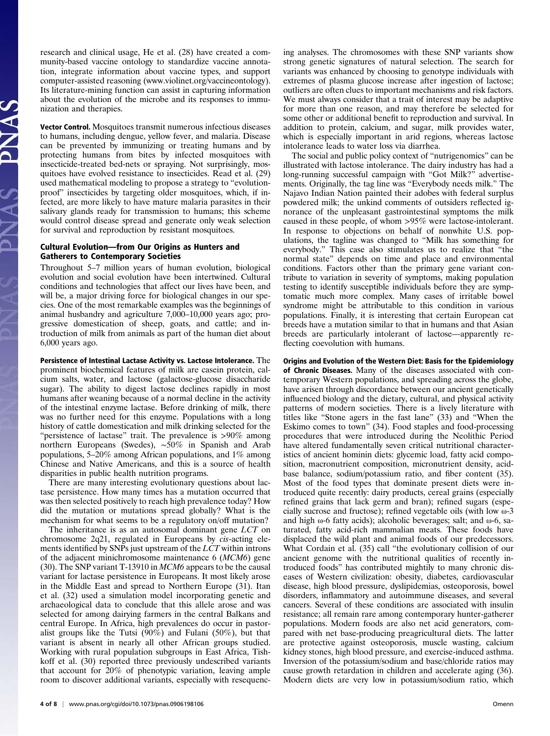research and clinical usage, He et al. (28) have created a community-based vaccine ontology to standardize vaccine annotation, integrate information about vaccine types, and support computer-assisted reasoning (www.violinet.org/vaccineontology). Its literature-mining function can assist in capturing information about the evolution of the microbe and its responses to immunization and therapies.

Vector Control. Mosquitoes transmit numerous infectious diseases to humans, including dengue, yellow fever, and malaria. Disease can be prevented by immunizing or treating humans and by protecting humans from bites by infected mosquitoes with insecticide-treated bed-nets or spraying. Not surprisingly, mosquitoes have evolved resistance to insecticides. Read et al. (29) used mathematical modeling to propose a strategy to "evolutionproof" insecticides by targeting older mosquitoes, which, if infected, are more likely to have mature malaria parasites in their salivary glands ready for transmission to humans; this scheme would control disease spread and generate only weak selection for survival and reproduction by resistant mosquitoes.

## Cultural Evolution—from Our Origins as Hunters and Gatherers to Contemporary Societies

Throughout 5–7 million years of human evolution, biological evolution and social evolution have been intertwined. Cultural conditions and technologies that affect our lives have been, and will be, a major driving force for biological changes in our species. One of the most remarkable examples was the beginnings of animal husbandry and agriculture 7,000–10,000 years ago; progressive domestication of sheep, goats, and cattle; and introduction of milk from animals as part of the human diet about 6,000 years ago.

Persistence of Intestinal Lactase Activity vs. Lactose Intolerance. The prominent biochemical features of milk are casein protein, calcium salts, water, and lactose (galactose-glucose disaccharide sugar). The ability to digest lactose declines rapidly in most humans after weaning because of a normal decline in the activity of the intestinal enzyme lactase. Before drinking of milk, there was no further need for this enzyme. Populations with a long history of cattle domestication and milk drinking selected for the "persistence of lactase" trait. The prevalence is >90% among northern Europeans (Swedes), ∼50% in Spanish and Arab populations, 5–20% among African populations, and 1% among Chinese and Native Americans, and this is a source of health disparities in public health nutrition programs.

There are many interesting evolutionary questions about lactase persistence. How many times has a mutation occurred that was then selected positively to reach high prevalence today? How did the mutation or mutations spread globally? What is the mechanism for what seems to be a regulatory on/off mutation?

The inheritance is as an autosomal dominant gene LCT on chromosome 2q21, regulated in Europeans by cis-acting elements identified by SNPs just upstream of the LCT within introns of the adjacent minichromosome maintenance 6 (MCM6) gene (30). The SNP variant T-13910 in MCM6 appears to be the causal variant for lactase persistence in Europeans. It most likely arose in the Middle East and spread to Northern Europe (31). Itan et al. (32) used a simulation model incorporating genetic and archaeological data to conclude that this allele arose and was selected for among dairying farmers in the central Balkans and central Europe. In Africa, high prevalences do occur in pastoralist groups like the Tutsi (90%) and Fulani (50%), but that variant is absent in nearly all other African groups studied. Working with rural population subgroups in East Africa, Tishkoff et al. (30) reported three previously undescribed variants that account for 20% of phenotypic variation, leaving ample room to discover additional variants, especially with resequencing analyses. The chromosomes with these SNP variants show strong genetic signatures of natural selection. The search for variants was enhanced by choosing to genotype individuals with extremes of plasma glucose increase after ingestion of lactose; outliers are often clues to important mechanisms and risk factors. We must always consider that a trait of interest may be adaptive for more than one reason, and may therefore be selected for some other or additional benefit to reproduction and survival. In addition to protein, calcium, and sugar, milk provides water, which is especially important in arid regions, whereas lactose intolerance leads to water loss via diarrhea.

The social and public policy context of "nutrigenomics" can be illustrated with lactose intolerance. The dairy industry has had a long-running successful campaign with "Got Milk?" advertisements. Originally, the tag line was "Everybody needs milk." The Najavo Indian Nation painted their adobes with federal surplus powdered milk; the unkind comments of outsiders reflected ignorance of the unpleasant gastrointestinal symptoms the milk caused in these people, of whom >95% were lactose-intolerant. In response to objections on behalf of nonwhite U.S. populations, the tagline was changed to "Milk has something for everybody." This case also stimulates us to realize that "the normal state" depends on time and place and environmental conditions. Factors other than the primary gene variant contribute to variation in severity of symptoms, making population testing to identify susceptible individuals before they are symptomatic much more complex. Many cases of irritable bowel syndrome might be attributable to this condition in various populations. Finally, it is interesting that certain European cat breeds have a mutation similar to that in humans and that Asian breeds are particularly intolerant of lactose—apparently reflecting coevolution with humans.

Origins and Evolution of the Western Diet: Basis for the Epidemiology of Chronic Diseases. Many of the diseases associated with contemporary Western populations, and spreading across the globe, have arisen through discordance between our ancient genetically influenced biology and the dietary, cultural, and physical activity patterns of modern societies. There is a lively literature with titles like "Stone agers in the fast lane" (33) and "When the Eskimo comes to town" (34). Food staples and food-processing procedures that were introduced during the Neolithic Period have altered fundamentally seven critical nutritional characteristics of ancient hominin diets: glycemic load, fatty acid composition, macronutrient composition, micronutrient density, acidbase balance, sodium/potassium ratio, and fiber content (35). Most of the food types that dominate present diets were introduced quite recently: dairy products, cereal grains (especially refined grains that lack germ and bran); refined sugars (especially sucrose and fructose); refined vegetable oils (with low ω-3 and high ω-6 fatty acids); alcoholic beverages; salt; and ω-6, saturated, fatty acid-rich mammalian meats. These foods have displaced the wild plant and animal foods of our predecessors. What Cordain et al. (35) call "the evolutionary collision of our ancient genome with the nutritional qualities of recently introduced foods" has contributed mightily to many chronic diseases of Western civilization: obesity, diabetes, cardiovascular disease, high blood pressure, dyslipidemias, osteoporosis, bowel disorders, inflammatory and autoimmune diseases, and several cancers. Several of these conditions are associated with insulin resistance; all remain rare among contemporary hunter-gatherer populations. Modern foods are also net acid generators, compared with net base-producing preagricultural diets. The latter are protective against osteoporosis, muscle wasting, calcium kidney stones, high blood pressure, and exercise-induced asthma. Inversion of the potassium/sodium and base/chloride ratios may cause growth retardation in children and accelerate aging (36). Modern diets are very low in potassium/sodium ratio, which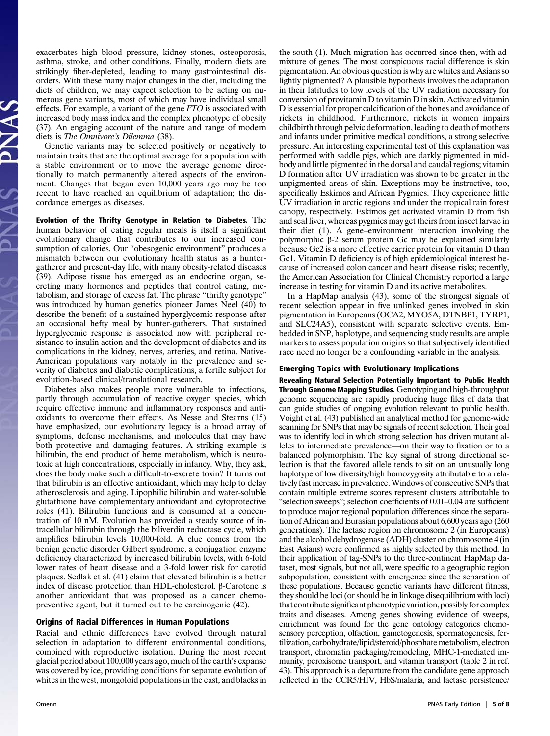exacerbates high blood pressure, kidney stones, osteoporosis, asthma, stroke, and other conditions. Finally, modern diets are strikingly fiber-depleted, leading to many gastrointestinal disorders. With these many major changes in the diet, including the diets of children, we may expect selection to be acting on numerous gene variants, most of which may have individual small effects. For example, a variant of the gene FTO is associated with increased body mass index and the complex phenotype of obesity (37). An engaging account of the nature and range of modern diets is The Omnivore's Dilemma (38).

Genetic variants may be selected positively or negatively to maintain traits that are the optimal average for a population with a stable environment or to move the average genome directionally to match permanently altered aspects of the environment. Changes that began even 10,000 years ago may be too recent to have reached an equilibrium of adaptation; the discordance emerges as diseases.

Evolution of the Thrifty Genotype in Relation to Diabetes. The human behavior of eating regular meals is itself a significant evolutionary change that contributes to our increased consumption of calories. Our "obesogenic environment" produces a mismatch between our evolutionary health status as a huntergatherer and present-day life, with many obesity-related diseases (39). Adipose tissue has emerged as an endocrine organ, secreting many hormones and peptides that control eating, metabolism, and storage of excess fat. The phrase "thrifty genotype" was introduced by human genetics pioneer James Neel (40) to describe the benefit of a sustained hyperglycemic response after an occasional hefty meal by hunter-gatherers. That sustained hyperglycemic response is associated now with peripheral resistance to insulin action and the development of diabetes and its complications in the kidney, nerves, arteries, and retina. Native-American populations vary notably in the prevalence and severity of diabetes and diabetic complications, a fertile subject for evolution-based clinical/translational research.

Diabetes also makes people more vulnerable to infections, partly through accumulation of reactive oxygen species, which require effective immune and inflammatory responses and antioxidants to overcome their effects. As Nesse and Stearns (15) have emphasized, our evolutionary legacy is a broad array of symptoms, defense mechanisms, and molecules that may have both protective and damaging features. A striking example is bilirubin, the end product of heme metabolism, which is neurotoxic at high concentrations, especially in infancy. Why, they ask, does the body make such a difficult-to-excrete toxin? It turns out that bilirubin is an effective antioxidant, which may help to delay atherosclerosis and aging. Lipophilic bilirubin and water-soluble glutathione have complementary antioxidant and cytoprotective roles (41). Bilirubin functions and is consumed at a concentration of 10 nM. Evolution has provided a steady source of intracellular bilirubin through the biliverdin reductase cycle, which amplifies bilirubin levels 10,000-fold. A clue comes from the benign genetic disorder Gilbert syndrome, a conjugation enzyme deficiency characterized by increased bilirubin levels, with 6-fold lower rates of heart disease and a 3-fold lower risk for carotid plaques. Sedlak et al. (41) claim that elevated bilirubin is a better index of disease protection than HDL-cholesterol. β-Carotene is another antioxidant that was proposed as a cancer chemopreventive agent, but it turned out to be carcinogenic (42).

# Origins of Racial Differences in Human Populations

Racial and ethnic differences have evolved through natural selection in adaptation to different environmental conditions, combined with reproductive isolation. During the most recent glacial period about 100,000 years ago, much of the earth's expanse was covered by ice, providing conditions for separate evolution of whites in the west, mongoloid populations in the east, and blacks in mixture of genes. The most conspicuous racial difference is skin pigmentation. An obvious question is why are whites and Asians so lightly pigmented? A plausible hypothesis involves the adaptation in their latitudes to low levels of the UV radiation necessary for conversion of provitamin D to vitamin D in skin. Activated vitamin D is essential for proper calcification of the bones and avoidance of rickets in childhood. Furthermore, rickets in women impairs childbirth through pelvic deformation, leading to death of mothers and infants under primitive medical conditions, a strong selective pressure. An interesting experimental test of this explanation was performed with saddle pigs, which are darkly pigmented in midbody and little pigmented in the dorsal and caudal regions; vitamin D formation after UV irradiation was shown to be greater in the unpigmented areas of skin. Exceptions may be instructive, too, specifically Eskimos and African Pygmies. They experience little UV irradiation in arctic regions and under the tropical rain forest canopy, respectively. Eskimos get activated vitamin D from fish and seal liver, whereas pygmies may get theirs from insect larvae in their diet (1). A gene–environment interaction involving the polymorphic β-2 serum protein Gc may be explained similarly because Gc2 is a more effective carrier protein for vitamin D than Gc1. Vitamin D deficiency is of high epidemiological interest because of increased colon cancer and heart disease risks; recently, the American Association for Clinical Chemistry reported a large increase in testing for vitamin D and its active metabolites.

the south (1). Much migration has occurred since then, with ad-

In a HapMap analysis (43), some of the strongest signals of recent selection appear in five unlinked genes involved in skin pigmentation in Europeans (OCA2, MYO5A, DTNBP1, TYRP1, and SLC24A5), consistent with separate selective events. Embedded in SNP, haplotype, and sequencing study results are ample markers to assess population origins so that subjectively identified race need no longer be a confounding variable in the analysis.

#### Emerging Topics with Evolutionary Implications

Revealing Natural Selection Potentially Important to Public Health Through Genome Mapping Studies. Genotyping and high-throughput genome sequencing are rapidly producing huge files of data that can guide studies of ongoing evolution relevant to public health. Voight et al. (43) published an analytical method for genome-wide scanning for SNPs that may be signals of recent selection. Their goal was to identify loci in which strong selection has driven mutant alleles to intermediate prevalence—on their way to fixation or to a balanced polymorphism. The key signal of strong directional selection is that the favored allele tends to sit on an unusually long haplotype of low diversity/high homozygosity attributable to a relatively fast increase in prevalence. Windows of consecutive SNPs that contain multiple extreme scores represent clusters attributable to "selection sweeps"; selection coefficients of 0.01–0.04 are sufficient to produce major regional population differences since the separation of African and Eurasian populations about 6,600 years ago (260 generations). The lactase region on chromosome 2 (in Europeans) and the alcohol dehydrogenase (ADH) cluster on chromosome 4 (in East Asians) were confirmed as highly selected by this method. In their application of tag-SNPs to the three-continent HapMap dataset, most signals, but not all, were specific to a geographic region subpopulation, consistent with emergence since the separation of these populations. Because genetic variants have different fitness, they should be loci (or should be in linkage disequilibrium with loci) that contribute significant phenotypic variation, possibly for complex traits and diseases. Among genes showing evidence of sweeps, enrichment was found for the gene ontology categories chemosensory perception, olfaction, gametogenesis, spermatogenesis, fertilization, carbohydrate/lipid/steroid/phosphatemetabolism, electron transport, chromatin packaging/remodeling, MHC-1-mediated immunity, peroxisome transport, and vitamin transport (table 2 in ref. 43). This approach is a departure from the candidate gene approach reflected in the CCR5/HIV, HbS/malaria, and lactase persistence/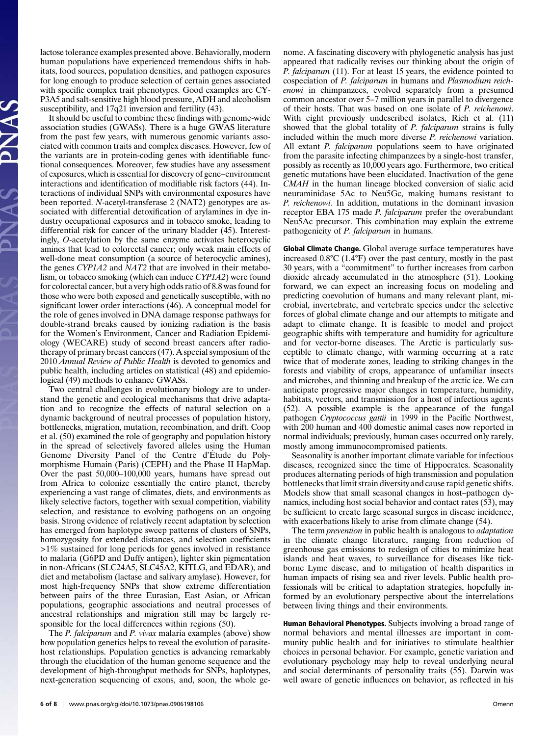lactose tolerance examples presented above. Behaviorally, modern human populations have experienced tremendous shifts in habitats, food sources, population densities, and pathogen exposures for long enough to produce selection of certain genes associated with specific complex trait phenotypes. Good examples are CY-P3A5 and salt-sensitive high blood pressure, ADH and alcoholism susceptibility, and 17q21 inversion and fertility (43).

It should be useful to combine these findings with genome-wide association studies (GWASs). There is a huge GWAS literature from the past few years, with numerous genomic variants associated with common traits and complex diseases. However, few of the variants are in protein-coding genes with identifiable functional consequences. Moreover, few studies have any assessment of exposures, which is essential for discovery of gene–environment interactions and identification of modifiable risk factors (44). Interactions of individual SNPs with environmental exposures have been reported. N-acetyl-transferase 2 (NAT2) genotypes are associated with differential detoxification of arylamines in dye industry occupational exposures and in tobacco smoke, leading to differential risk for cancer of the urinary bladder (45). Interestingly, O-acetylation by the same enzyme activates heterocyclic amines that lead to colorectal cancer; only weak main effects of well-done meat consumption (a source of heterocyclic amines), the genes CYP1A2 and NAT2 that are involved in their metabolism, or tobacco smoking (which can induce CYP1A2) were found for colorectal cancer, but a very high odds ratio of 8.8 was found for those who were both exposed and genetically susceptible, with no significant lower order interactions (46). A conceptual model for the role of genes involved in DNA damage response pathways for double-strand breaks caused by ionizing radiation is the basis for the Women's Environment, Cancer and Radiation Epidemiology (WECARE) study of second breast cancers after radiotherapy of primary breast cancers (47). A special symposium of the 2010 Annual Review of Public Health is devoted to genomics and public health, including articles on statistical (48) and epidemiological (49) methods to enhance GWASs.

Two central challenges in evolutionary biology are to understand the genetic and ecological mechanisms that drive adaptation and to recognize the effects of natural selection on a dynamic background of neutral processes of population history, bottlenecks, migration, mutation, recombination, and drift. Coop et al. (50) examined the role of geography and population history in the spread of selectively favored alleles using the Human Genome Diversity Panel of the Centre d'Étude du Polymorphisme Humain (Paris) (CEPH) and the Phase II HapMap. Over the past 50,000–100,000 years, humans have spread out from Africa to colonize essentially the entire planet, thereby experiencing a vast range of climates, diets, and environments as likely selective factors, together with sexual competition, viability selection, and resistance to evolving pathogens on an ongoing basis. Strong evidence of relatively recent adaptation by selection has emerged from haplotype sweep patterns of clusters of SNPs, homozygosity for extended distances, and selection coefficients >1% sustained for long periods for genes involved in resistance to malaria (G6PD and Duffy antigen), lighter skin pigmentation in non-Africans (SLC24A5, SLC45A2, KITLG, and EDAR), and diet and metabolism (lactase and salivary amylase). However, for most high-frequency SNPs that show extreme differentiation between pairs of the three Eurasian, East Asian, or African populations, geographic associations and neutral processes of ancestral relationships and migration still may be largely responsible for the local differences within regions (50).

The *P. falciparum* and *P. vivax* malaria examples (above) show how population genetics helps to reveal the evolution of parasitehost relationships. Population genetics is advancing remarkably through the elucidation of the human genome sequence and the development of high-throughput methods for SNPs, haplotypes, next-generation sequencing of exons, and, soon, the whole genome. A fascinating discovery with phylogenetic analysis has just appeared that radically revises our thinking about the origin of P. falciparum (11). For at least 15 years, the evidence pointed to cospeciation of P. falciparum in humans and Plasmodium reichenowi in chimpanzees, evolved separately from a presumed common ancestor over 5–7 million years in parallel to divergence of their hosts. That was based on one isolate of P. reichenowi. With eight previously undescribed isolates, Rich et al. (11) showed that the global totality of P. falciparum strains is fully included within the much more diverse P. reichenowi variation. All extant *P. falciparum* populations seem to have originated from the parasite infecting chimpanzees by a single-host transfer, possibly as recently as 10,000 years ago. Furthermore, two critical genetic mutations have been elucidated. Inactivation of the gene CMAH in the human lineage blocked conversion of sialic acid neuraminidase 5Ac to Neu5Gc, making humans resistant to P. reichenowi. In addition, mutations in the dominant invasion receptor EBA 175 made P. falciparum prefer the overabundant Neu5Ac precursor. This combination may explain the extreme pathogenicity of P. falciparum in humans.

Global Climate Change. Global average surface temperatures have increased 0.8°C (1.4°F) over the past century, mostly in the past 30 years, with a "commitment" to further increases from carbon dioxide already accumulated in the atmosphere (51). Looking forward, we can expect an increasing focus on modeling and predicting coevolution of humans and many relevant plant, microbial, invertebrate, and vertebrate species under the selective forces of global climate change and our attempts to mitigate and adapt to climate change. It is feasible to model and project geographic shifts with temperature and humidity for agriculture and for vector-borne diseases. The Arctic is particularly susceptible to climate change, with warming occurring at a rate twice that of moderate zones, leading to striking changes in the forests and viability of crops, appearance of unfamiliar insects and microbes, and thinning and breakup of the arctic ice. We can anticipate progressive major changes in temperature, humidity, habitats, vectors, and transmission for a host of infectious agents (52). A possible example is the appearance of the fungal pathogen Cryptococcus gattii in 1999 in the Pacific Northwest, with 200 human and 400 domestic animal cases now reported in normal individuals; previously, human cases occurred only rarely, mostly among immunocompromised patients.

Seasonality is another important climate variable for infectious diseases, recognized since the time of Hippocrates. Seasonality produces alternating periods of high transmission and population bottlenecks that limit strain diversity and cause rapid genetic shifts. Models show that small seasonal changes in host–pathogen dynamics, including host social behavior and contact rates (53), may be sufficient to create large seasonal surges in disease incidence, with exacerbations likely to arise from climate change (54).

The term *prevention* in public health is analogous to *adaptation* in the climate change literature, ranging from reduction of greenhouse gas emissions to redesign of cities to minimize heat islands and heat waves, to surveillance for diseases like tickborne Lyme disease, and to mitigation of health disparities in human impacts of rising sea and river levels. Public health professionals will be critical to adaptation strategies, hopefully informed by an evolutionary perspective about the interrelations between living things and their environments.

Human Behavioral Phenotypes. Subjects involving a broad range of normal behaviors and mental illnesses are important in community public health and for initiatives to stimulate healthier choices in personal behavior. For example, genetic variation and evolutionary psychology may help to reveal underlying neural and social determinants of personality traits (55). Darwin was well aware of genetic influences on behavior, as reflected in his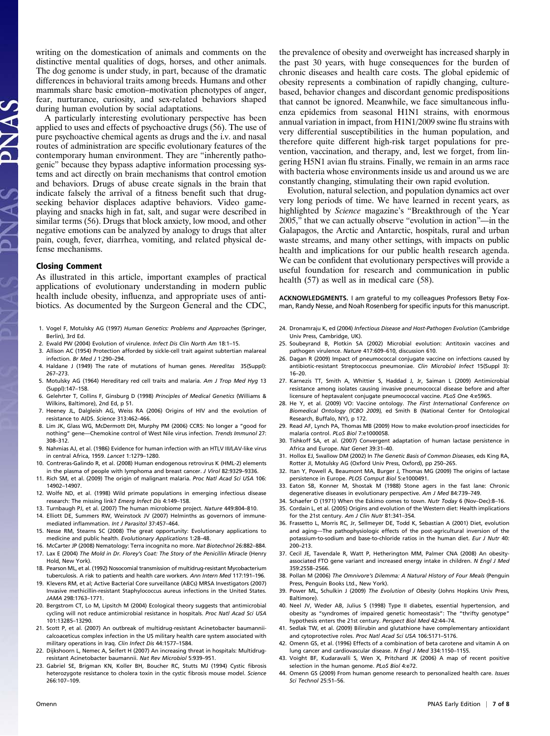writing on the domestication of animals and comments on the distinctive mental qualities of dogs, horses, and other animals. The dog genome is under study, in part, because of the dramatic differences in behavioral traits among breeds. Humans and other mammals share basic emotion–motivation phenotypes of anger, fear, nurturance, curiosity, and sex-related behaviors shaped during human evolution by social adaptations.

A particularly interesting evolutionary perspective has been applied to uses and effects of psychoactive drugs (56). The use of pure psychoactive chemical agents as drugs and the i.v. and nasal routes of administration are specific evolutionary features of the contemporary human environment. They are "inherently pathogenic" because they bypass adaptive information processing systems and act directly on brain mechanisms that control emotion and behaviors. Drugs of abuse create signals in the brain that indicate falsely the arrival of a fitness benefit such that drugseeking behavior displaces adaptive behaviors. Video gameplaying and snacks high in fat, salt, and sugar were described in similar terms (56). Drugs that block anxiety, low mood, and other negative emotions can be analyzed by analogy to drugs that alter pain, cough, fever, diarrhea, vomiting, and related physical defense mechanisms.

#### Closing Comment

As illustrated in this article, important examples of practical applications of evolutionary understanding in modern public health include obesity, influenza, and appropriate uses of antibiotics. As documented by the Surgeon General and the CDC,

- 1. Vogel F, Motulsky AG (1997) Human Genetics: Problems and Approaches (Springer, Berlin), 3rd Ed.
- 2. Ewald PW (2004) Evolution of virulence. Infect Dis Clin North Am 18:1–15.
- 3. Allison AC (1954) Protection afforded by sickle-cell trait against subtertian malareal infection. Br Med J 1:290–294.
- 4. Haldane J (1949) The rate of mutations of human genes. Hereditas 35(Suppl): 267–273.
- 5. Motulsky AG (1964) Hereditary red cell traits and malaria. Am J Trop Med Hyg 13 (Suppl):147–158.
- 6. Gelehrter T, Collins F, Ginsburg D (1998) Principles of Medical Genetics (Williams & Wilkins, Baltimore), 2nd Ed, p 51.
- 7. Heeney JL, Dalgleish AG, Weiss RA (2006) Origins of HIV and the evolution of resistance to AIDS. Science 313:462–466.
- 8. Lim JK, Glass WG, McDermott DH, Murphy PM (2006) CCR5: No longer a "good for nothing" gene—Chemokine control of West Nile virus infection. Trends Immunol 27: 308–312.
- 9. Nahmias AJ, et al. (1986) Evidence for human infection with an HTLV III/LAV-like virus in central Africa, 1959. Lancet 1:1279–1280.
- 10. Contreras-Galindo R, et al. (2008) Human endogenous retrovirus K (HML-2) elements in the plasma of people with lymphoma and breast cancer. J Virol 82:9329–9336.
- 11. Rich SM, et al. (2009) The origin of malignant malaria. Proc Natl Acad Sci USA 106: 14902–14907.
- 12. Wolfe ND, et al. (1998) Wild primate populations in emerging infectious disease research: The missing link? Emerg Infect Dis 4:149–158.
- 13. Turnbaugh PJ, et al. (2007) The human microbiome project. Nature 449:804–810.
- 14. Elliott DE, Summers RW, Weinstock JV (2007) Helminths as governors of immunemediated inflammation. Int J Parasitol 37:457–464.
- 15. Nesse RM, Stearns SC (2008) The great opportunity: Evolutionary applications to medicine and public health. Evolutionary Applications 1:28–48.
- 16. McCarter JP (2008) Nematology: Terra incognita no more. Nat Biotechnol 26:882–884. 17. Lax E (2004) The Mold in Dr. Florey's Coat: The Story of the Penicillin Miracle (Henry
- Hold, New York). 18. Pearson ML, et al. (1992) Nosocomial transmission of multidrug-resistant Mycobacterium tuberculosis. A risk to patients and health care workers. Ann Intern Med 117:191–196.
- 19. Klevens RM, et al; Active Bacterial Core surveillance (ABCs) MRSA Investigators (2007) Invasive methicillin-resistant Staphylococcus aureus infections in the United States. JAMA 298:1763–1771.
- 20. Bergstrom CT, Lo M, Lipsitch M (2004) Ecological theory suggests that antimicrobial cycling will not reduce antimicrobial resistance in hospitals. Proc Natl Acad Sci USA 101:13285–13290.
- 21. Scott P, et al. (2007) An outbreak of multidrug-resistant Acinetobacter baumanniicalcoaceticus complex infection in the US military health care system associated with military operations in Iraq. Clin Infect Dis 44:1577–1584.
- 22. Dijkshoorn L, Nemec A, Seifert H (2007) An increasing threat in hospitals: Multidrugresistant Acinetobacter baumannii. Nat Rev Microbiol 5:939–951.
- 23. Gabriel SE, Brigman KN, Koller BH, Boucher RC, Stutts MJ (1994) Cystic fibrosis heterozygote resistance to cholera toxin in the cystic fibrosis mouse model. Science 266:107–109.

the prevalence of obesity and overweight has increased sharply in the past 30 years, with huge consequences for the burden of chronic diseases and health care costs. The global epidemic of obesity represents a combination of rapidly changing, culturebased, behavior changes and discordant genomic predispositions that cannot be ignored. Meanwhile, we face simultaneous influenza epidemics from seasonal H1N1 strains, with enormous annual variation in impact, from H1N1/2009 swine flu strains with very differential susceptibilities in the human population, and therefore quite different high-risk target populations for prevention, vaccination, and therapy, and, lest we forget, from lingering H5N1 avian flu strains. Finally, we remain in an arms race with bacteria whose environments inside us and around us we are constantly changing, stimulating their own rapid evolution.

Evolution, natural selection, and population dynamics act over very long periods of time. We have learned in recent years, as highlighted by Science magazine's "Breakthrough of the Year 2005," that we can actually observe "evolution in action"—in the Galapagos, the Arctic and Antarctic, hospitals, rural and urban waste streams, and many other settings, with impacts on public health and implications for our public health research agenda. We can be confident that evolutionary perspectives will provide a useful foundation for research and communication in public health (57) as well as in medical care (58).

ACKNOWLEDGMENTS. I am grateful to my colleagues Professors Betsy Foxman, Randy Nesse, and Noah Rosenberg for specific inputs for this manuscript.

- 24. Dronamraju K, ed (2004) Infectious Disease and Host-Pathogen Evolution (Cambridge Univ Press, Cambridge, UK).
- 25. Soubeyrand B, Plotkin SA (2002) Microbial evolution: Antitoxin vaccines and pathogen virulence. Nature 417:609–610, discussion 610.
- 26. Dagan R (2009) Impact of pneumococcal conjugate vaccine on infections caused by antibiotic-resistant Streptococcus pneumoniae. Clin Microbiol Infect 15(Suppl 3): 16–20.
- 27. Karnezis TT, Smith A, Whittier S, Haddad J, Jr, Saiman L (2009) Antimicrobial resistance among isolates causing invasive pneumococcal disease before and after licensure of heptavalent conjugate pneumococcal vaccine. PLoS One 4:e5965.
- 28. He Y, et al. (2009) VO: Vaccine ontology. The First International Conference on Biomedical Ontology (ICBO 2009), ed Smith B (National Center for Ontological Research, Buffalo, NY), p 172.
- 29. Read AF, Lynch PA, Thomas MB (2009) How to make evolution-proof insecticides for malaria control. PLoS Biol 7:e1000058.
- 30. Tishkoff SA, et al. (2007) Convergent adaptation of human lactase persistence in Africa and Europe. Nat Genet 39:31–40.
- 31. Hollox EJ, Swallow DM (2002) In The Genetic Basis of Common Diseases, eds King RA, Rotter JI, Motulsky AG (Oxford Univ Press, Oxford), pp 250–265.
- 32. Itan Y, Powell A, Beaumont MA, Burger J, Thomas MG (2009) The origins of lactase persistence in Europe. PLOS Comput Biol 5:e1000491.
- 33. Eaton SB, Konner M, Shostak M (1988) Stone agers in the fast lane: Chronic degenerative diseases in evolutionary perspective. Am J Med 84:739–749.
- 34. Schaefer O (1971) When the Eskimo comes to town. Nutr Today 6 (Nov–Dec):8–16.
- 35. Cordain L, et al. (2005) Origins and evolution of the Western diet: Health implications for the 21st century. Am J Clin Nutr 81:341–354.
- 36. Frassetto L, Morris RC, Jr, Sellmeyer DE, Todd K, Sebastian A (2001) Diet, evolution and aging—The pathophysiologic effects of the post-agricultural inversion of the potassium-to-sodium and base-to-chloride ratios in the human diet. Eur J Nutr 40: 200–213.
- 37. Cecil JE, Tavendale R, Watt P, Hetherington MM, Palmer CNA (2008) An obesityassociated FTO gene variant and increased energy intake in children. N Engl J Med 359:2558–2566.
- 38. Pollan M (2006) The Omnivore's Dilemma: A Natural History of Four Meals (Penguin Press, Penguin Books Ltd., New York).
- 39. Power ML, Schulkin J (2009) The Evolution of Obesity (Johns Hopkins Univ Press, Baltimore).
- 40. Neel JV, Weder AB, Julius S (1998) Type II diabetes, essential hypertension, and obesity as "syndromes of impaired genetic homeostasis": The "thrifty genotype" hypothesis enters the 21st century. Perspect Biol Med 42:44–74.
- 41. Sedlak TW, et al. (2009) Bilirubin and glutathione have complementary antioxidant and cytoprotective roles. Proc Natl Acad Sci USA 106:5171–5176.
- 42. Omenn GS, et al. (1996) Effects of a combination of beta carotene and vitamin A on lung cancer and cardiovascular disease. N Engl J Med 334:1150–1155.
- 43. Voight BF, Kudaravalli S, Wen X, Pritchard JK (2006) A map of recent positive selection in the human genome. PLoS Biol 4:e72.
- 44. Omenn GS (2009) From human genome research to personalized health care. Issues Sci Technol 25:51–56.